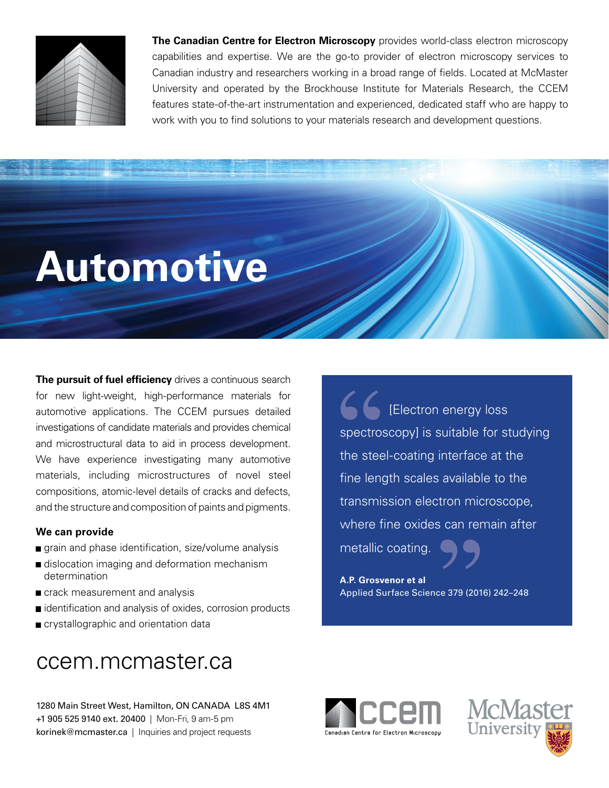

**The Canadian Centre for Electron Microscopy** provides world-class electron microscopy capabilities and expertise. We are the go-to provider of electron microscopy services to Canadian industry and researchers working in a broad range of fields. Located at McMaster University and operated by the Brockhouse Institute for Materials Research, the CCEM features state-of-the-art instrumentation and experienced, dedicated staff who are happy to work with you to find solutions to your materials research and development questions.

# **Automotive**

**The pursuit of fuel efficiency** drives a continuous search for new light-weight, high-performance materials for automotive applications. The CCEM pursues detailed investigations of candidate materials and provides chemical and microstructural data to aid in process development. We have experience investigating many automotive materials, including microstructures of novel steel compositions, atomic-level details of cracks and defects, and the structure and composition of paints and pigments.

#### **We can provide**

- grain and phase identification, size/volume analysis
- dislocation imaging and deformation mechanism determination
- crack measurement and analysis
- identification and analysis of oxides, corrosion products
- crystallographic and orientation data

## ccem.mcmaster.ca

1280 Main Street West, Hamilton, ON CANADA L8S 4M1 +1 905 525 9140 ext. 20400 | Mon-Fri, 9 am-5 pm korinek@mcmaster.ca | Inquiries and project requests

[Electron energy loss spectroscopy] is suitable for studying the steel-coating interface at the fine length scales available to the transmission electron microscope, where fine oxides can remain after

metallic coating.

**A.P. Grosvenor et al** Applied Surface Science 379 (2016) 242–248